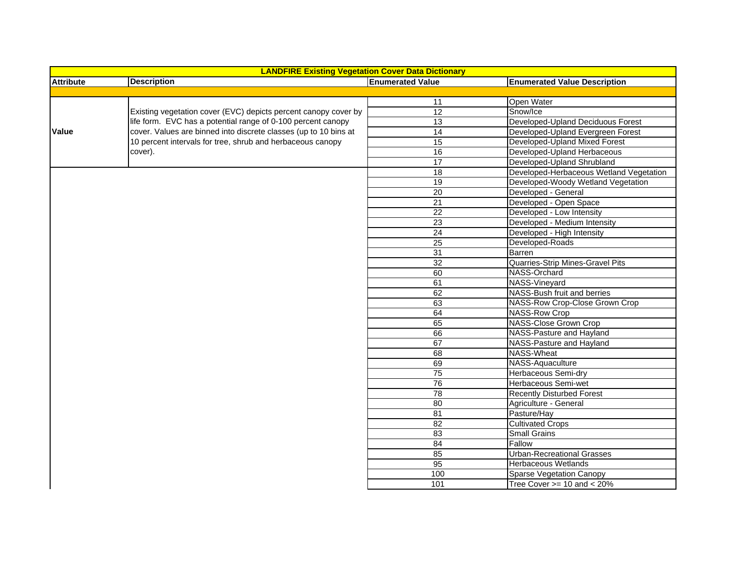| <b>LANDFIRE Existing Vegetation Cover Data Dictionary</b> |                                                                                                                                                                                                |                         |                                         |  |  |  |
|-----------------------------------------------------------|------------------------------------------------------------------------------------------------------------------------------------------------------------------------------------------------|-------------------------|-----------------------------------------|--|--|--|
| <b>Attribute</b>                                          | <b>Description</b>                                                                                                                                                                             | <b>Enumerated Value</b> | <b>Enumerated Value Description</b>     |  |  |  |
|                                                           |                                                                                                                                                                                                |                         |                                         |  |  |  |
|                                                           |                                                                                                                                                                                                | 11                      | Open Water                              |  |  |  |
|                                                           | Existing vegetation cover (EVC) depicts percent canopy cover by                                                                                                                                | 12                      | Snow/Ice                                |  |  |  |
| Value                                                     | life form. EVC has a potential range of 0-100 percent canopy<br>cover. Values are binned into discrete classes (up to 10 bins at<br>10 percent intervals for tree, shrub and herbaceous canopy | 13                      | Developed-Upland Deciduous Forest       |  |  |  |
|                                                           |                                                                                                                                                                                                | 14                      | Developed-Upland Evergreen Forest       |  |  |  |
|                                                           |                                                                                                                                                                                                | $\overline{15}$         | Developed-Upland Mixed Forest           |  |  |  |
|                                                           | cover).                                                                                                                                                                                        | 16                      | Developed-Upland Herbaceous             |  |  |  |
|                                                           |                                                                                                                                                                                                | 17                      | Developed-Upland Shrubland              |  |  |  |
|                                                           |                                                                                                                                                                                                | 18                      | Developed-Herbaceous Wetland Vegetation |  |  |  |
|                                                           |                                                                                                                                                                                                | 19                      | Developed-Woody Wetland Vegetation      |  |  |  |
|                                                           |                                                                                                                                                                                                | 20                      | Developed - General                     |  |  |  |
|                                                           |                                                                                                                                                                                                | $\overline{21}$         | Developed - Open Space                  |  |  |  |
|                                                           |                                                                                                                                                                                                | $\overline{22}$         | Developed - Low Intensity               |  |  |  |
|                                                           |                                                                                                                                                                                                | 23                      | Developed - Medium Intensity            |  |  |  |
|                                                           |                                                                                                                                                                                                | $\overline{24}$         | Developed - High Intensity              |  |  |  |
|                                                           |                                                                                                                                                                                                | 25                      | Developed-Roads                         |  |  |  |
|                                                           |                                                                                                                                                                                                | $\overline{31}$         | Barren                                  |  |  |  |
|                                                           |                                                                                                                                                                                                | $\overline{32}$         | Quarries-Strip Mines-Gravel Pits        |  |  |  |
|                                                           |                                                                                                                                                                                                | 60                      | NASS-Orchard                            |  |  |  |
|                                                           |                                                                                                                                                                                                | 61                      | NASS-Vineyard                           |  |  |  |
|                                                           |                                                                                                                                                                                                | 62                      | NASS-Bush fruit and berries             |  |  |  |
|                                                           |                                                                                                                                                                                                | 63                      | NASS-Row Crop-Close Grown Crop          |  |  |  |
|                                                           |                                                                                                                                                                                                | 64                      | <b>NASS-Row Crop</b>                    |  |  |  |
|                                                           |                                                                                                                                                                                                | 65                      | NASS-Close Grown Crop                   |  |  |  |
|                                                           |                                                                                                                                                                                                | 66                      | NASS-Pasture and Hayland                |  |  |  |
|                                                           |                                                                                                                                                                                                | 67                      | NASS-Pasture and Hayland                |  |  |  |
|                                                           |                                                                                                                                                                                                | 68                      | NASS-Wheat                              |  |  |  |
|                                                           |                                                                                                                                                                                                | 69                      | NASS-Aquaculture                        |  |  |  |
|                                                           |                                                                                                                                                                                                | 75                      | Herbaceous Semi-dry                     |  |  |  |
|                                                           |                                                                                                                                                                                                | 76                      | Herbaceous Semi-wet                     |  |  |  |
|                                                           |                                                                                                                                                                                                | 78                      | <b>Recently Disturbed Forest</b>        |  |  |  |
|                                                           |                                                                                                                                                                                                | 80                      | Agriculture - General                   |  |  |  |
|                                                           |                                                                                                                                                                                                | 81                      | Pasture/Hay                             |  |  |  |
|                                                           |                                                                                                                                                                                                | 82                      | <b>Cultivated Crops</b>                 |  |  |  |
|                                                           |                                                                                                                                                                                                | 83                      | <b>Small Grains</b>                     |  |  |  |
|                                                           |                                                                                                                                                                                                | 84                      | Fallow                                  |  |  |  |
|                                                           |                                                                                                                                                                                                | 85                      | <b>Urban-Recreational Grasses</b>       |  |  |  |
|                                                           |                                                                                                                                                                                                | $\overline{95}$         | <b>Herbaceous Wetlands</b>              |  |  |  |
|                                                           |                                                                                                                                                                                                | 100                     | Sparse Vegetation Canopy                |  |  |  |
|                                                           |                                                                                                                                                                                                | 101                     | Tree Cover $>= 10$ and $< 20\%$         |  |  |  |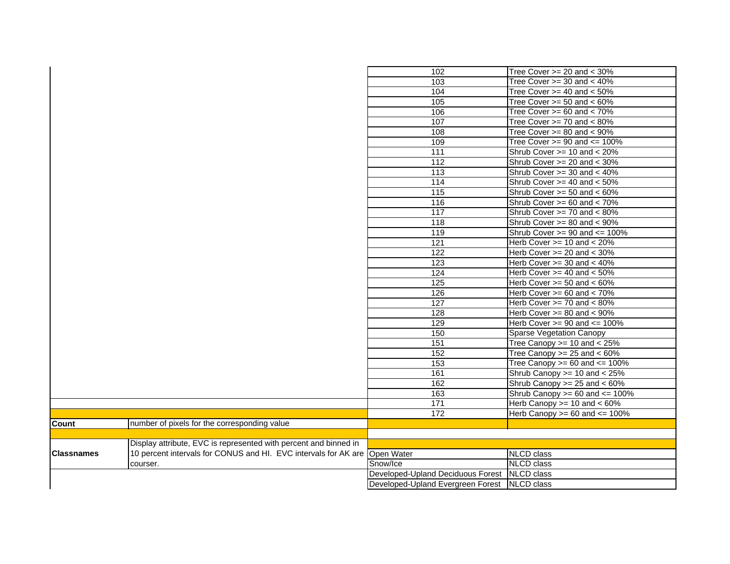|                                                                            | 102                               | Tree Cover $>= 20$ and $< 30\%$     |
|----------------------------------------------------------------------------|-----------------------------------|-------------------------------------|
|                                                                            | 103                               | Tree Cover $>=$ 30 and $<$ 40%      |
|                                                                            | 104                               | Tree Cover $>=$ 40 and $<$ 50%      |
|                                                                            | 105                               | Tree Cover $>= 50$ and $< 60\%$     |
|                                                                            | 106                               | Tree Cover $>= 60$ and $< 70\%$     |
|                                                                            | 107                               | Tree Cover $>= 70$ and $< 80\%$     |
|                                                                            | 108                               | Tree Cover $>= 80$ and $< 90\%$     |
|                                                                            | 109                               | Tree Cover $>= 90$ and $<= 100\%$   |
|                                                                            | $\overline{111}$                  | Shrub Cover >= 10 and < 20%         |
|                                                                            | 112                               | Shrub Cover $>= 20$ and $< 30\%$    |
|                                                                            | 113                               | Shrub Cover $>=$ 30 and $<$ 40%     |
|                                                                            | 114                               | Shrub Cover >= 40 and < 50%         |
|                                                                            | 115                               | Shrub Cover $>= 50$ and $< 60\%$    |
|                                                                            | 116                               | Shrub Cover >= 60 and < 70%         |
|                                                                            | 117                               | Shrub Cover $>= 70$ and $< 80\%$    |
|                                                                            | 118                               | Shrub Cover >= 80 and < 90%         |
|                                                                            | 119                               | Shrub Cover $>= 90$ and $<= 100\%$  |
|                                                                            | 121                               | Herb Cover $>= 10$ and $< 20\%$     |
|                                                                            | 122                               | Herb Cover $>= 20$ and $< 30\%$     |
|                                                                            | 123                               | Herb Cover $>=$ 30 and $<$ 40%      |
|                                                                            | 124                               | Herb Cover $>=$ 40 and $<$ 50%      |
|                                                                            | $\frac{1}{25}$                    | Herb Cover $>= 50$ and $< 60\%$     |
|                                                                            | 126                               | Herb Cover $>= 60$ and $< 70\%$     |
|                                                                            | 127                               | Herb Cover $>= 70$ and $< 80\%$     |
|                                                                            | 128                               | Herb Cover >= 80 and < 90%          |
|                                                                            | 129                               | Herb Cover $>= 90$ and $<= 100\%$   |
|                                                                            | 150                               | <b>Sparse Vegetation Canopy</b>     |
|                                                                            | 151                               | Tree Canopy $>= 10$ and $< 25\%$    |
|                                                                            | 152                               | Tree Canopy $>= 25$ and $< 60\%$    |
|                                                                            | 153                               | Tree Canopy $>= 60$ and $<= 100\%$  |
|                                                                            | 161                               | Shrub Canopy >= 10 and < 25%        |
|                                                                            | 162                               | Shrub Canopy $>= 25$ and $< 60\%$   |
|                                                                            | 163                               | Shrub Canopy $>= 60$ and $<= 100\%$ |
|                                                                            | 171                               | Herb Canopy $>= 10$ and $< 60\%$    |
|                                                                            | 172                               | Herb Canopy $>= 60$ and $<= 100\%$  |
| number of pixels for the corresponding value                               |                                   |                                     |
|                                                                            |                                   |                                     |
| Display attribute, EVC is represented with percent and binned in           |                                   |                                     |
| 10 percent intervals for CONUS and HI. EVC intervals for AK are Open Water |                                   | <b>NLCD</b> class                   |
| courser.                                                                   | Snow/Ice                          | <b>NLCD</b> class                   |
|                                                                            | Developed-Upland Deciduous Forest | NLCD class                          |
|                                                                            | Developed-Upland Evergreen Forest | NLCD class                          |
|                                                                            |                                   |                                     |

**Count**

**Classnames**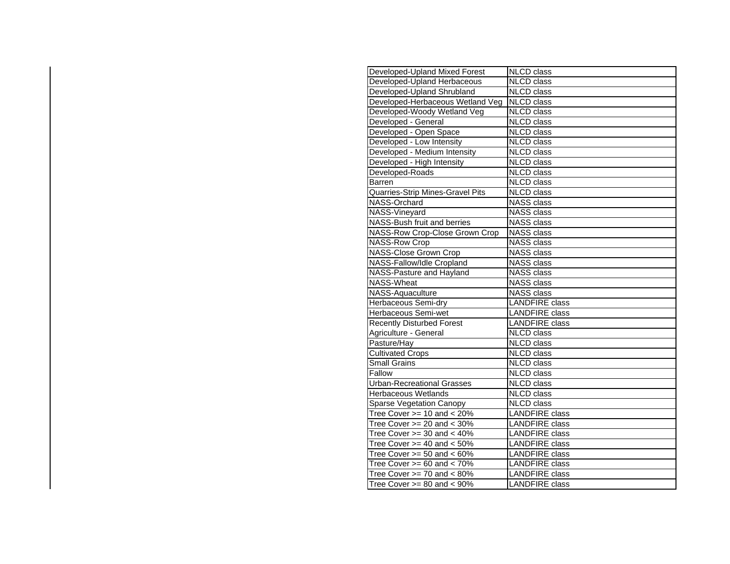| Developed-Upland Mixed Forest     | <b>NLCD</b> class     |
|-----------------------------------|-----------------------|
| Developed-Upland Herbaceous       | <b>NLCD</b> class     |
| Developed-Upland Shrubland        | <b>NLCD</b> class     |
| Developed-Herbaceous Wetland Veg  | <b>NLCD</b> class     |
| Developed-Woody Wetland Veg       | <b>NLCD</b> class     |
| Developed - General               | <b>NLCD</b> class     |
| Developed - Open Space            | <b>NLCD</b> class     |
| Developed - Low Intensity         | <b>NLCD</b> class     |
| Developed - Medium Intensity      | <b>NLCD</b> class     |
| Developed - High Intensity        | <b>NLCD</b> class     |
| Developed-Roads                   | <b>NLCD</b> class     |
| Barren                            | <b>NLCD</b> class     |
| Quarries-Strip Mines-Gravel Pits  | <b>NLCD</b> class     |
| NASS-Orchard                      | <b>NASS class</b>     |
| NASS-Vineyard                     | <b>NASS class</b>     |
| NASS-Bush fruit and berries       | <b>NASS class</b>     |
| NASS-Row Crop-Close Grown Crop    | <b>NASS class</b>     |
| <b>NASS-Row Crop</b>              | <b>NASS class</b>     |
| <b>NASS-Close Grown Crop</b>      | <b>NASS class</b>     |
| NASS-Fallow/Idle Cropland         | <b>NASS</b> class     |
| NASS-Pasture and Hayland          | <b>NASS class</b>     |
| <b>NASS-Wheat</b>                 | <b>NASS class</b>     |
| NASS-Aquaculture                  | <b>NASS class</b>     |
| Herbaceous Semi-dry               | <b>LANDFIRE</b> class |
| Herbaceous Semi-wet               | <b>LANDFIRE</b> class |
| <b>Recently Disturbed Forest</b>  | <b>LANDFIRE</b> class |
| Agriculture - General             | <b>NLCD</b> class     |
| Pasture/Hay                       | <b>NLCD</b> class     |
| <b>Cultivated Crops</b>           | <b>NLCD</b> class     |
| <b>Small Grains</b>               | <b>NLCD</b> class     |
| Fallow                            | <b>NLCD</b> class     |
| <b>Urban-Recreational Grasses</b> | <b>NLCD</b> class     |
| <b>Herbaceous Wetlands</b>        | <b>NLCD</b> class     |
| <b>Sparse Vegetation Canopy</b>   | <b>NLCD</b> class     |
| Tree Cover $>= 10$ and $< 20\%$   | <b>LANDFIRE</b> class |
| Tree Cover $>= 20$ and $< 30\%$   | <b>LANDFIRE</b> class |
| Tree Cover $>=$ 30 and $<$ 40%    | <b>LANDFIRE</b> class |
| Tree Cover $>=$ 40 and $<$ 50%    | <b>LANDFIRE</b> class |
| Tree Cover $>= 50$ and $< 60\%$   | <b>LANDFIRE</b> class |
| Tree Cover $>= 60$ and $< 70\%$   | <b>LANDFIRE</b> class |
| Tree Cover $>= 70$ and $< 80\%$   | <b>LANDFIRE</b> class |
| Tree Cover $>=$ 80 and $<$ 90%    | <b>LANDFIRE</b> class |
|                                   |                       |